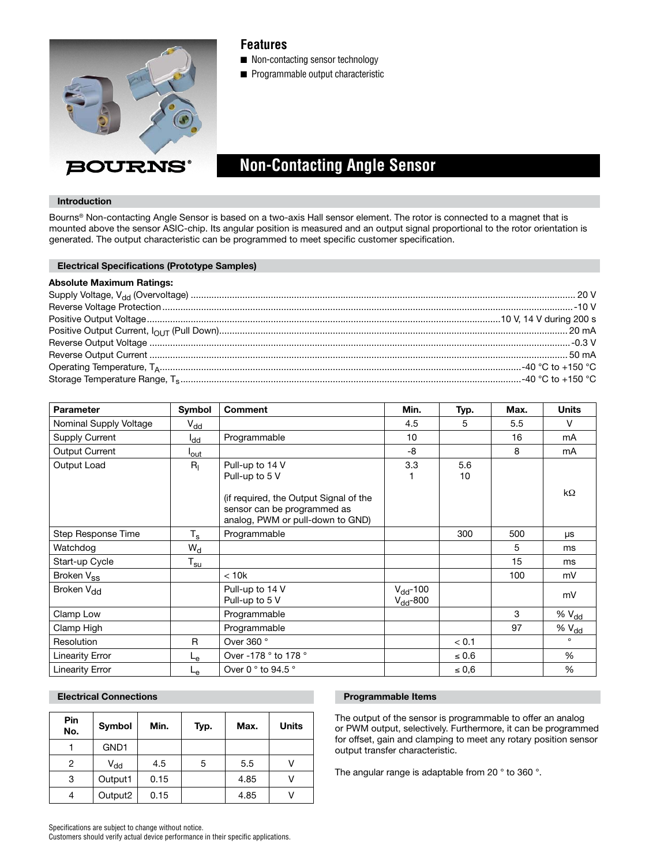

## **Features**

- Non-contacting sensor technology
- Programmable output characteristic

# **Non-Contacting Angle Sensor**

## **Introduction**

Bourns® Non-contacting Angle Sensor is based on a two-axis Hall sensor element. The rotor is connected to a magnet that is mounted above the sensor ASIC-chip. Its angular position is measured and an output signal proportional to the rotor orientation is generated. The output characteristic can be programmed to meet specific customer specification.

| <b>Electrical Specifications (Prototype Samples)</b> |  |
|------------------------------------------------------|--|
| <b>Absolute Maximum Ratings:</b>                     |  |
|                                                      |  |
|                                                      |  |
|                                                      |  |
|                                                      |  |
|                                                      |  |
|                                                      |  |
|                                                      |  |
|                                                      |  |

| <b>Parameter</b>       | Symbol           | <b>Comment</b>                                                                                            | Min.                           | Typ.       | Max. | <b>Units</b>      |
|------------------------|------------------|-----------------------------------------------------------------------------------------------------------|--------------------------------|------------|------|-------------------|
| Nominal Supply Voltage | $V_{dd}$         |                                                                                                           | 4.5                            | 5          | 5.5  | v                 |
| Supply Current         | l <sub>dd</sub>  | Programmable                                                                                              | 10 <sup>1</sup>                |            | 16   | mA                |
| Output Current         | l <sub>out</sub> |                                                                                                           | -8                             |            | 8    | mA                |
| Output Load            | $R_{I}$          | Pull-up to 14 V<br>Pull-up to 5 V                                                                         | 3.3                            | 5.6<br>10  |      |                   |
|                        |                  | (if required, the Output Signal of the<br>sensor can be programmed as<br>analog, PWM or pull-down to GND) |                                |            |      | $k\Omega$         |
| Step Response Time     | $T_{\rm s}$      | Programmable                                                                                              |                                | 300        | 500  | <b>LIS</b>        |
| Watchdog               | $W_d$            |                                                                                                           |                                |            | 5    | ms                |
| Start-up Cycle         | $T_{\rm su}$     |                                                                                                           |                                |            | 15   | ms                |
| Broken V <sub>ss</sub> |                  | < 10k                                                                                                     |                                |            | 100  | mV                |
| Broken V <sub>dd</sub> |                  | Pull-up to 14 V<br>Pull-up to 5 V                                                                         | $V_{dd}$ -100<br>$V_{dd}$ -800 |            |      | mV                |
| Clamp Low              |                  | Programmable                                                                                              |                                |            | 3    | $% V_{dd}$        |
| Clamp High             |                  | Programmable                                                                                              |                                |            | 97   | % V <sub>dd</sub> |
| Resolution             | R                | Over 360 °                                                                                                |                                | < 0.1      |      | $\circ$           |
| <b>Linearity Error</b> | ∟e               | Over -178 ° to 178 °                                                                                      |                                | $\leq 0.6$ |      | %                 |
| <b>Linearity Error</b> | Le               | Over 0 $\degree$ to 94.5 $\degree$                                                                        |                                | $\leq 0.6$ |      | $\%$              |

## **Electrical Connections Programmable Items**

| <b>Pin</b><br>No. | Symbol   | Min. | Typ. | Max. | <b>Units</b> |
|-------------------|----------|------|------|------|--------------|
|                   | GND1     |      |      |      |              |
| 2                 | $V_{dd}$ | 4.5  | 5    | 5.5  |              |
| 3                 | Output1  | 0.15 |      | 4.85 |              |
| 4                 | Output2  | 0.15 |      | 4.85 |              |

The output of the sensor is programmable to offer an analog or PWM output, selectively. Furthermore, it can be programmed for offset, gain and clamping to meet any rotary position sensor output transfer characteristic.

The angular range is adaptable from 20 ° to 360 °.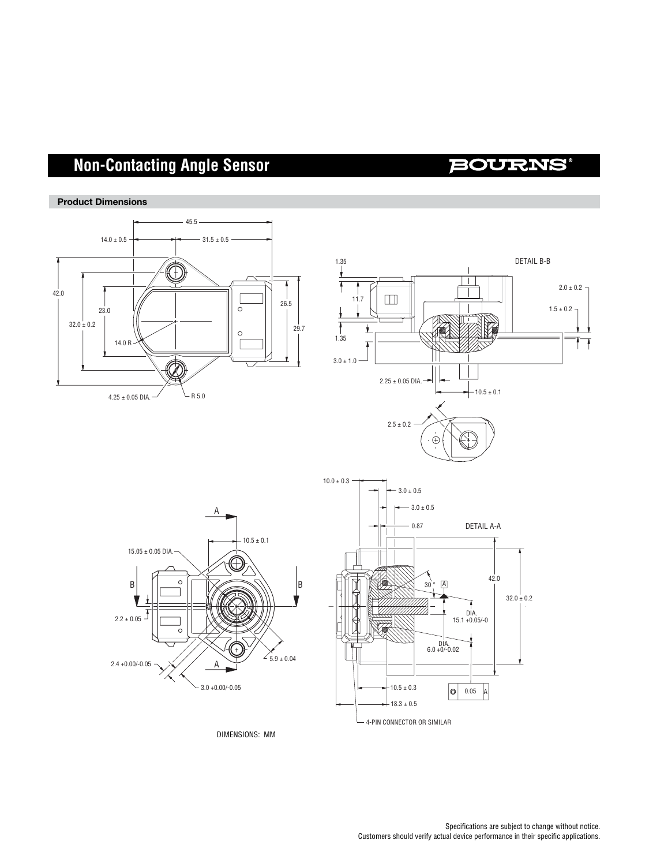# **Non-Contacting Angle Sensor**

## **BOURNS**





DIMENSIONS: MM